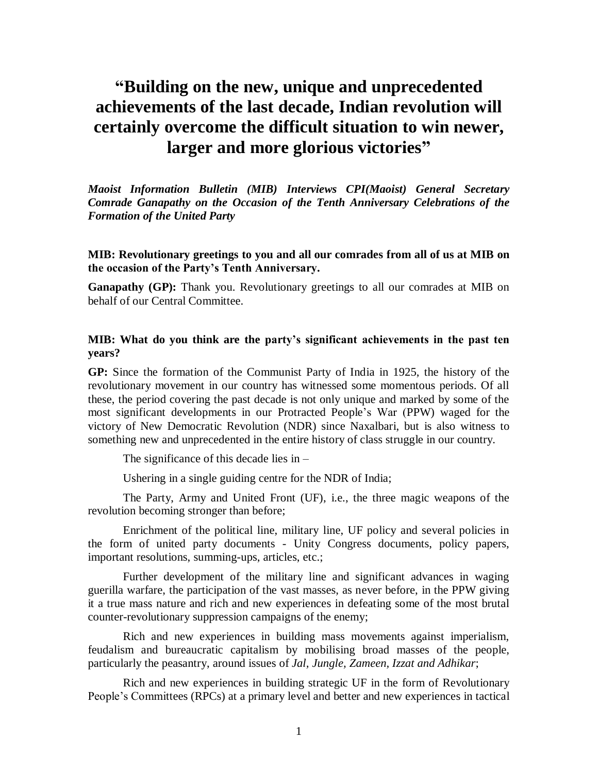# **"Building on the new, unique and unprecedented achievements of the last decade, Indian revolution will certainly overcome the difficult situation to win newer, larger and more glorious victories"**

*Maoist Information Bulletin (MIB) Interviews CPI(Maoist) General Secretary Comrade Ganapathy on the Occasion of the Tenth Anniversary Celebrations of the Formation of the United Party*

## **MIB: Revolutionary greetings to you and all our comrades from all of us at MIB on the occasion of the Party's Tenth Anniversary.**

**Ganapathy (GP):** Thank you. Revolutionary greetings to all our comrades at MIB on behalf of our Central Committee.

# **MIB: What do you think are the party's significant achievements in the past ten years?**

**GP:** Since the formation of the Communist Party of India in 1925, the history of the revolutionary movement in our country has witnessed some momentous periods. Of all these, the period covering the past decade is not only unique and marked by some of the most significant developments in our Protracted People's War (PPW) waged for the victory of New Democratic Revolution (NDR) since Naxalbari, but is also witness to something new and unprecedented in the entire history of class struggle in our country.

The significance of this decade lies in –

Ushering in a single guiding centre for the NDR of India;

The Party, Army and United Front (UF), i.e., the three magic weapons of the revolution becoming stronger than before;

Enrichment of the political line, military line, UF policy and several policies in the form of united party documents - Unity Congress documents, policy papers, important resolutions, summing-ups, articles, etc.;

Further development of the military line and significant advances in waging guerilla warfare, the participation of the vast masses, as never before, in the PPW giving it a true mass nature and rich and new experiences in defeating some of the most brutal counter-revolutionary suppression campaigns of the enemy;

Rich and new experiences in building mass movements against imperialism, feudalism and bureaucratic capitalism by mobilising broad masses of the people, particularly the peasantry, around issues of *Jal, Jungle, Zameen, Izzat and Adhikar*;

Rich and new experiences in building strategic UF in the form of Revolutionary People's Committees (RPCs) at a primary level and better and new experiences in tactical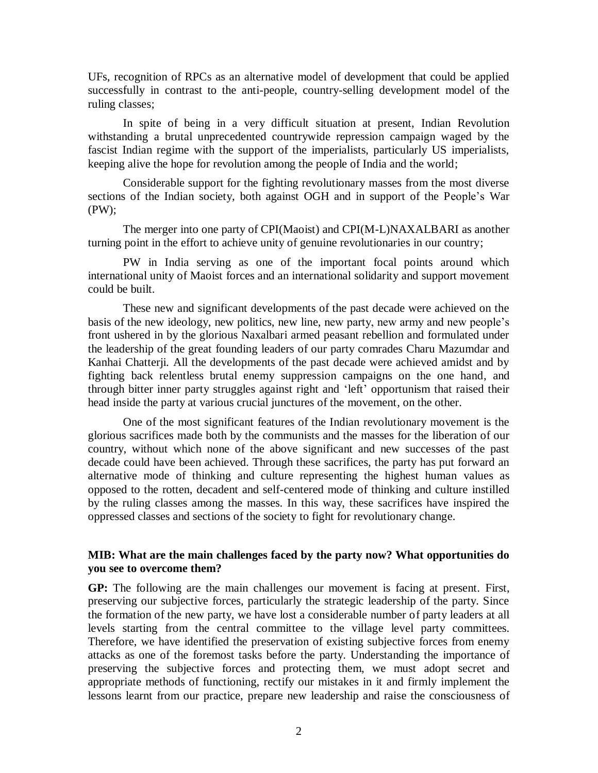UFs, recognition of RPCs as an alternative model of development that could be applied successfully in contrast to the anti-people, country-selling development model of the ruling classes;

In spite of being in a very difficult situation at present, Indian Revolution withstanding a brutal unprecedented countrywide repression campaign waged by the fascist Indian regime with the support of the imperialists, particularly US imperialists, keeping alive the hope for revolution among the people of India and the world;

Considerable support for the fighting revolutionary masses from the most diverse sections of the Indian society, both against OGH and in support of the People's War (PW);

The merger into one party of CPI(Maoist) and CPI(M-L)NAXALBARI as another turning point in the effort to achieve unity of genuine revolutionaries in our country;

PW in India serving as one of the important focal points around which international unity of Maoist forces and an international solidarity and support movement could be built.

These new and significant developments of the past decade were achieved on the basis of the new ideology, new politics, new line, new party, new army and new people's front ushered in by the glorious Naxalbari armed peasant rebellion and formulated under the leadership of the great founding leaders of our party comrades Charu Mazumdar and Kanhai Chatterji. All the developments of the past decade were achieved amidst and by fighting back relentless brutal enemy suppression campaigns on the one hand, and through bitter inner party struggles against right and 'left' opportunism that raised their head inside the party at various crucial junctures of the movement, on the other.

One of the most significant features of the Indian revolutionary movement is the glorious sacrifices made both by the communists and the masses for the liberation of our country, without which none of the above significant and new successes of the past decade could have been achieved. Through these sacrifices, the party has put forward an alternative mode of thinking and culture representing the highest human values as opposed to the rotten, decadent and self-centered mode of thinking and culture instilled by the ruling classes among the masses. In this way, these sacrifices have inspired the oppressed classes and sections of the society to fight for revolutionary change.

#### **MIB: What are the main challenges faced by the party now? What opportunities do you see to overcome them?**

**GP:** The following are the main challenges our movement is facing at present. First, preserving our subjective forces, particularly the strategic leadership of the party. Since the formation of the new party, we have lost a considerable number of party leaders at all levels starting from the central committee to the village level party committees. Therefore, we have identified the preservation of existing subjective forces from enemy attacks as one of the foremost tasks before the party. Understanding the importance of preserving the subjective forces and protecting them, we must adopt secret and appropriate methods of functioning, rectify our mistakes in it and firmly implement the lessons learnt from our practice, prepare new leadership and raise the consciousness of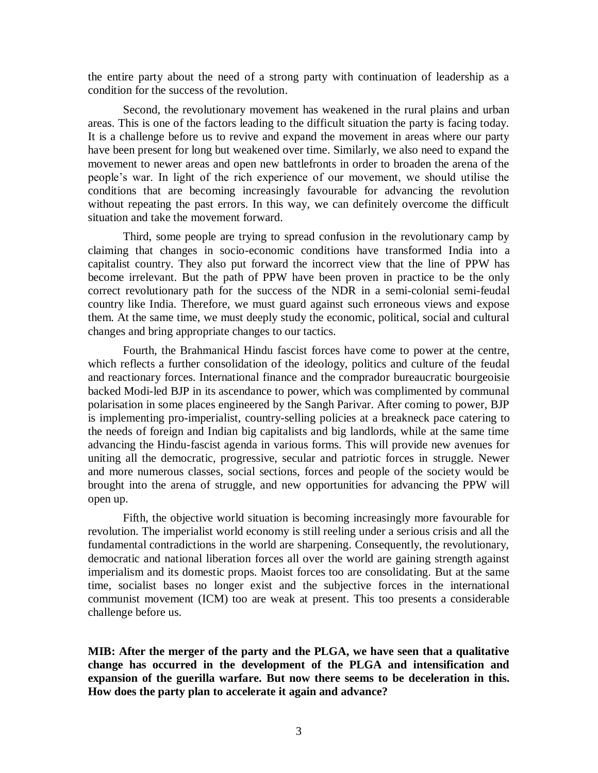the entire party about the need of a strong party with continuation of leadership as a condition for the success of the revolution.

Second, the revolutionary movement has weakened in the rural plains and urban areas. This is one of the factors leading to the difficult situation the party is facing today. It is a challenge before us to revive and expand the movement in areas where our party have been present for long but weakened over time. Similarly, we also need to expand the movement to newer areas and open new battlefronts in order to broaden the arena of the people's war. In light of the rich experience of our movement, we should utilise the conditions that are becoming increasingly favourable for advancing the revolution without repeating the past errors. In this way, we can definitely overcome the difficult situation and take the movement forward.

Third, some people are trying to spread confusion in the revolutionary camp by claiming that changes in socio-economic conditions have transformed India into a capitalist country. They also put forward the incorrect view that the line of PPW has become irrelevant. But the path of PPW have been proven in practice to be the only correct revolutionary path for the success of the NDR in a semi-colonial semi-feudal country like India. Therefore, we must guard against such erroneous views and expose them. At the same time, we must deeply study the economic, political, social and cultural changes and bring appropriate changes to our tactics.

Fourth, the Brahmanical Hindu fascist forces have come to power at the centre, which reflects a further consolidation of the ideology, politics and culture of the feudal and reactionary forces. International finance and the comprador bureaucratic bourgeoisie backed Modi-led BJP in its ascendance to power, which was complimented by communal polarisation in some places engineered by the Sangh Parivar. After coming to power, BJP is implementing pro-imperialist, country-selling policies at a breakneck pace catering to the needs of foreign and Indian big capitalists and big landlords, while at the same time advancing the Hindu-fascist agenda in various forms. This will provide new avenues for uniting all the democratic, progressive, secular and patriotic forces in struggle. Newer and more numerous classes, social sections, forces and people of the society would be brought into the arena of struggle, and new opportunities for advancing the PPW will open up.

Fifth, the objective world situation is becoming increasingly more favourable for revolution. The imperialist world economy is still reeling under a serious crisis and all the fundamental contradictions in the world are sharpening. Consequently, the revolutionary, democratic and national liberation forces all over the world are gaining strength against imperialism and its domestic props. Maoist forces too are consolidating. But at the same time, socialist bases no longer exist and the subjective forces in the international communist movement (ICM) too are weak at present. This too presents a considerable challenge before us.

**MIB: After the merger of the party and the PLGA, we have seen that a qualitative change has occurred in the development of the PLGA and intensification and expansion of the guerilla warfare. But now there seems to be deceleration in this. How does the party plan to accelerate it again and advance?**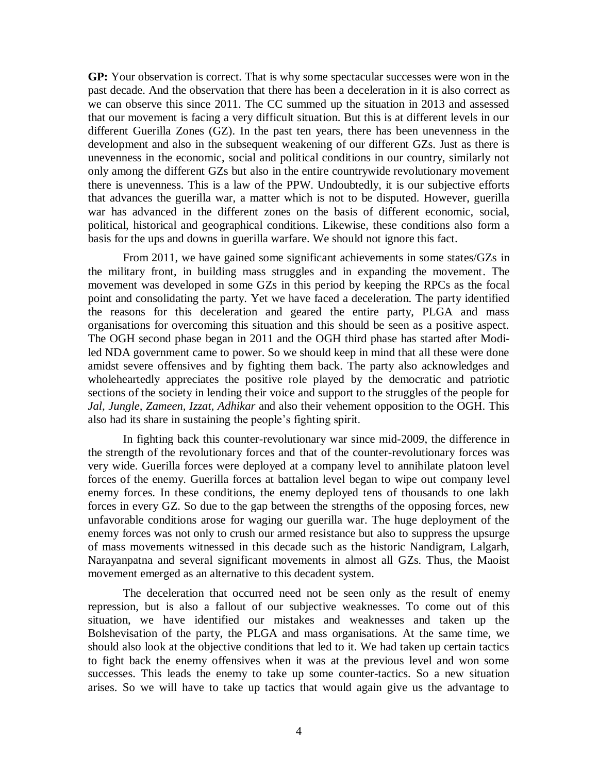**GP:** Your observation is correct. That is why some spectacular successes were won in the past decade. And the observation that there has been a deceleration in it is also correct as we can observe this since 2011. The CC summed up the situation in 2013 and assessed that our movement is facing a very difficult situation. But this is at different levels in our different Guerilla Zones (GZ). In the past ten years, there has been unevenness in the development and also in the subsequent weakening of our different GZs. Just as there is unevenness in the economic, social and political conditions in our country, similarly not only among the different GZs but also in the entire countrywide revolutionary movement there is unevenness. This is a law of the PPW. Undoubtedly, it is our subjective efforts that advances the guerilla war, a matter which is not to be disputed. However, guerilla war has advanced in the different zones on the basis of different economic, social, political, historical and geographical conditions. Likewise, these conditions also form a basis for the ups and downs in guerilla warfare. We should not ignore this fact.

From 2011, we have gained some significant achievements in some states/GZs in the military front, in building mass struggles and in expanding the movement. The movement was developed in some GZs in this period by keeping the RPCs as the focal point and consolidating the party. Yet we have faced a deceleration. The party identified the reasons for this deceleration and geared the entire party, PLGA and mass organisations for overcoming this situation and this should be seen as a positive aspect. The OGH second phase began in 2011 and the OGH third phase has started after Modiled NDA government came to power. So we should keep in mind that all these were done amidst severe offensives and by fighting them back. The party also acknowledges and wholeheartedly appreciates the positive role played by the democratic and patriotic sections of the society in lending their voice and support to the struggles of the people for *Jal, Jungle, Zameen, Izzat, Adhikar* and also their vehement opposition to the OGH. This also had its share in sustaining the people's fighting spirit.

In fighting back this counter-revolutionary war since mid-2009, the difference in the strength of the revolutionary forces and that of the counter-revolutionary forces was very wide. Guerilla forces were deployed at a company level to annihilate platoon level forces of the enemy. Guerilla forces at battalion level began to wipe out company level enemy forces. In these conditions, the enemy deployed tens of thousands to one lakh forces in every GZ. So due to the gap between the strengths of the opposing forces, new unfavorable conditions arose for waging our guerilla war. The huge deployment of the enemy forces was not only to crush our armed resistance but also to suppress the upsurge of mass movements witnessed in this decade such as the historic Nandigram, Lalgarh, Narayanpatna and several significant movements in almost all GZs. Thus, the Maoist movement emerged as an alternative to this decadent system.

The deceleration that occurred need not be seen only as the result of enemy repression, but is also a fallout of our subjective weaknesses. To come out of this situation, we have identified our mistakes and weaknesses and taken up the Bolshevisation of the party, the PLGA and mass organisations. At the same time, we should also look at the objective conditions that led to it. We had taken up certain tactics to fight back the enemy offensives when it was at the previous level and won some successes. This leads the enemy to take up some counter-tactics. So a new situation arises. So we will have to take up tactics that would again give us the advantage to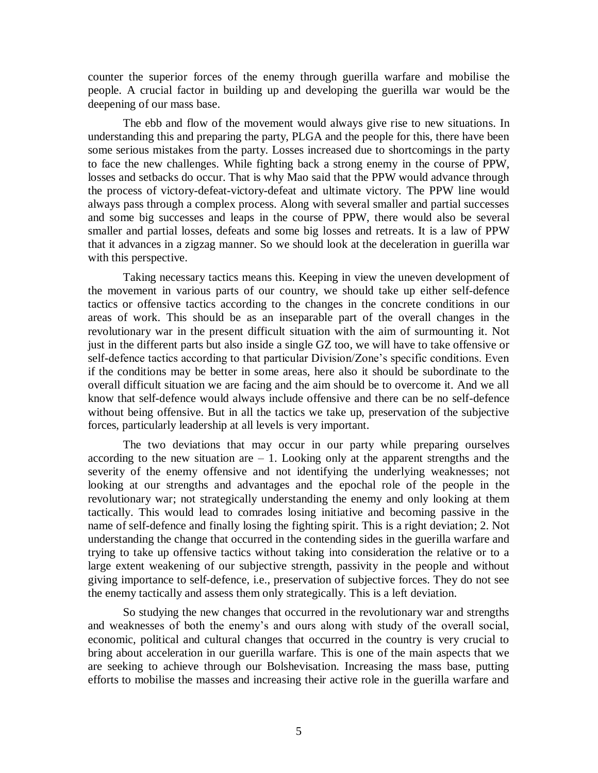counter the superior forces of the enemy through guerilla warfare and mobilise the people. A crucial factor in building up and developing the guerilla war would be the deepening of our mass base.

The ebb and flow of the movement would always give rise to new situations. In understanding this and preparing the party, PLGA and the people for this, there have been some serious mistakes from the party. Losses increased due to shortcomings in the party to face the new challenges. While fighting back a strong enemy in the course of PPW, losses and setbacks do occur. That is why Mao said that the PPW would advance through the process of victory-defeat-victory-defeat and ultimate victory. The PPW line would always pass through a complex process. Along with several smaller and partial successes and some big successes and leaps in the course of PPW, there would also be several smaller and partial losses, defeats and some big losses and retreats. It is a law of PPW that it advances in a zigzag manner. So we should look at the deceleration in guerilla war with this perspective.

Taking necessary tactics means this. Keeping in view the uneven development of the movement in various parts of our country, we should take up either self-defence tactics or offensive tactics according to the changes in the concrete conditions in our areas of work. This should be as an inseparable part of the overall changes in the revolutionary war in the present difficult situation with the aim of surmounting it. Not just in the different parts but also inside a single GZ too, we will have to take offensive or self-defence tactics according to that particular Division/Zone's specific conditions. Even if the conditions may be better in some areas, here also it should be subordinate to the overall difficult situation we are facing and the aim should be to overcome it. And we all know that self-defence would always include offensive and there can be no self-defence without being offensive. But in all the tactics we take up, preservation of the subjective forces, particularly leadership at all levels is very important.

The two deviations that may occur in our party while preparing ourselves according to the new situation are  $-1$ . Looking only at the apparent strengths and the severity of the enemy offensive and not identifying the underlying weaknesses; not looking at our strengths and advantages and the epochal role of the people in the revolutionary war; not strategically understanding the enemy and only looking at them tactically. This would lead to comrades losing initiative and becoming passive in the name of self-defence and finally losing the fighting spirit. This is a right deviation; 2. Not understanding the change that occurred in the contending sides in the guerilla warfare and trying to take up offensive tactics without taking into consideration the relative or to a large extent weakening of our subjective strength, passivity in the people and without giving importance to self-defence, i.e., preservation of subjective forces. They do not see the enemy tactically and assess them only strategically. This is a left deviation.

So studying the new changes that occurred in the revolutionary war and strengths and weaknesses of both the enemy's and ours along with study of the overall social, economic, political and cultural changes that occurred in the country is very crucial to bring about acceleration in our guerilla warfare. This is one of the main aspects that we are seeking to achieve through our Bolshevisation. Increasing the mass base, putting efforts to mobilise the masses and increasing their active role in the guerilla warfare and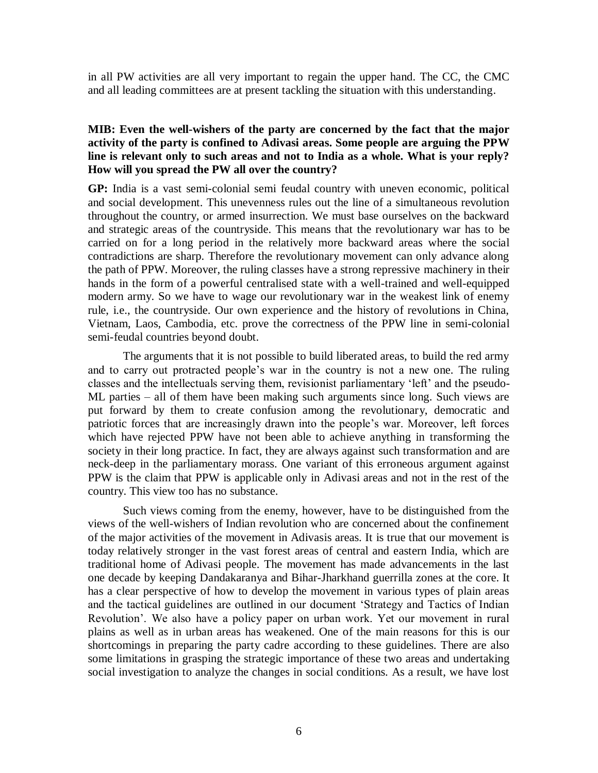in all PW activities are all very important to regain the upper hand. The CC, the CMC and all leading committees are at present tackling the situation with this understanding.

# **MIB: Even the well-wishers of the party are concerned by the fact that the major activity of the party is confined to Adivasi areas. Some people are arguing the PPW line is relevant only to such areas and not to India as a whole. What is your reply? How will you spread the PW all over the country?**

**GP:** India is a vast semi-colonial semi feudal country with uneven economic, political and social development. This unevenness rules out the line of a simultaneous revolution throughout the country, or armed insurrection. We must base ourselves on the backward and strategic areas of the countryside. This means that the revolutionary war has to be carried on for a long period in the relatively more backward areas where the social contradictions are sharp. Therefore the revolutionary movement can only advance along the path of PPW. Moreover, the ruling classes have a strong repressive machinery in their hands in the form of a powerful centralised state with a well-trained and well-equipped modern army. So we have to wage our revolutionary war in the weakest link of enemy rule, i.e., the countryside. Our own experience and the history of revolutions in China, Vietnam, Laos, Cambodia, etc. prove the correctness of the PPW line in semi-colonial semi-feudal countries beyond doubt.

The arguments that it is not possible to build liberated areas, to build the red army and to carry out protracted people's war in the country is not a new one. The ruling classes and the intellectuals serving them, revisionist parliamentary 'left' and the pseudo-ML parties – all of them have been making such arguments since long. Such views are put forward by them to create confusion among the revolutionary, democratic and patriotic forces that are increasingly drawn into the people's war. Moreover, left forces which have rejected PPW have not been able to achieve anything in transforming the society in their long practice. In fact, they are always against such transformation and are neck-deep in the parliamentary morass. One variant of this erroneous argument against PPW is the claim that PPW is applicable only in Adivasi areas and not in the rest of the country. This view too has no substance.

Such views coming from the enemy, however, have to be distinguished from the views of the well-wishers of Indian revolution who are concerned about the confinement of the major activities of the movement in Adivasis areas. It is true that our movement is today relatively stronger in the vast forest areas of central and eastern India, which are traditional home of Adivasi people. The movement has made advancements in the last one decade by keeping Dandakaranya and Bihar-Jharkhand guerrilla zones at the core. It has a clear perspective of how to develop the movement in various types of plain areas and the tactical guidelines are outlined in our document 'Strategy and Tactics of Indian Revolution'. We also have a policy paper on urban work. Yet our movement in rural plains as well as in urban areas has weakened. One of the main reasons for this is our shortcomings in preparing the party cadre according to these guidelines. There are also some limitations in grasping the strategic importance of these two areas and undertaking social investigation to analyze the changes in social conditions. As a result, we have lost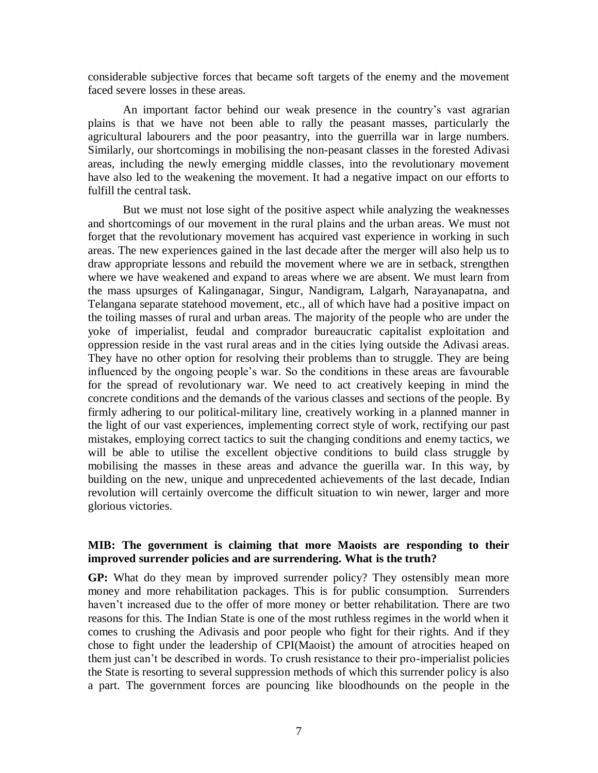considerable subjective forces that became soft targets of the enemy and the movement faced severe losses in these areas.

An important factor behind our weak presence in the country's vast agrarian plains is that we have not been able to rally the peasant masses, particularly the agricultural labourers and the poor peasantry, into the guerrilla war in large numbers. Similarly, our shortcomings in mobilising the non-peasant classes in the forested Adivasi areas, including the newly emerging middle classes, into the revolutionary movement have also led to the weakening the movement. It had a negative impact on our efforts to fulfill the central task.

But we must not lose sight of the positive aspect while analyzing the weaknesses and shortcomings of our movement in the rural plains and the urban areas. We must not forget that the revolutionary movement has acquired vast experience in working in such areas. The new experiences gained in the last decade after the merger will also help us to draw appropriate lessons and rebuild the movement where we are in setback, strengthen where we have weakened and expand to areas where we are absent. We must learn from the mass upsurges of Kalinganagar, Singur, Nandigram, Lalgarh, Narayanapatna, and Telangana separate statehood movement, etc., all of which have had a positive impact on the toiling masses of rural and urban areas. The majority of the people who are under the yoke of imperialist, feudal and comprador bureaucratic capitalist exploitation and oppression reside in the vast rural areas and in the cities lying outside the Adivasi areas. They have no other option for resolving their problems than to struggle. They are being influenced by the ongoing people's war. So the conditions in these areas are favourable for the spread of revolutionary war. We need to act creatively keeping in mind the concrete conditions and the demands of the various classes and sections of the people. By firmly adhering to our political-military line, creatively working in a planned manner in the light of our vast experiences, implementing correct style of work, rectifying our past mistakes, employing correct tactics to suit the changing conditions and enemy tactics, we will be able to utilise the excellent objective conditions to build class struggle by mobilising the masses in these areas and advance the guerilla war. In this way, by building on the new, unique and unprecedented achievements of the last decade, Indian revolution will certainly overcome the difficult situation to win newer, larger and more glorious victories.

#### **MIB: The government is claiming that more Maoists are responding to their improved surrender policies and are surrendering. What is the truth?**

**GP:** What do they mean by improved surrender policy? They ostensibly mean more money and more rehabilitation packages. This is for public consumption. Surrenders haven't increased due to the offer of more money or better rehabilitation. There are two reasons for this. The Indian State is one of the most ruthless regimes in the world when it comes to crushing the Adivasis and poor people who fight for their rights. And if they chose to fight under the leadership of CPI(Maoist) the amount of atrocities heaped on them just can't be described in words. To crush resistance to their pro-imperialist policies the State is resorting to several suppression methods of which this surrender policy is also a part. The government forces are pouncing like bloodhounds on the people in the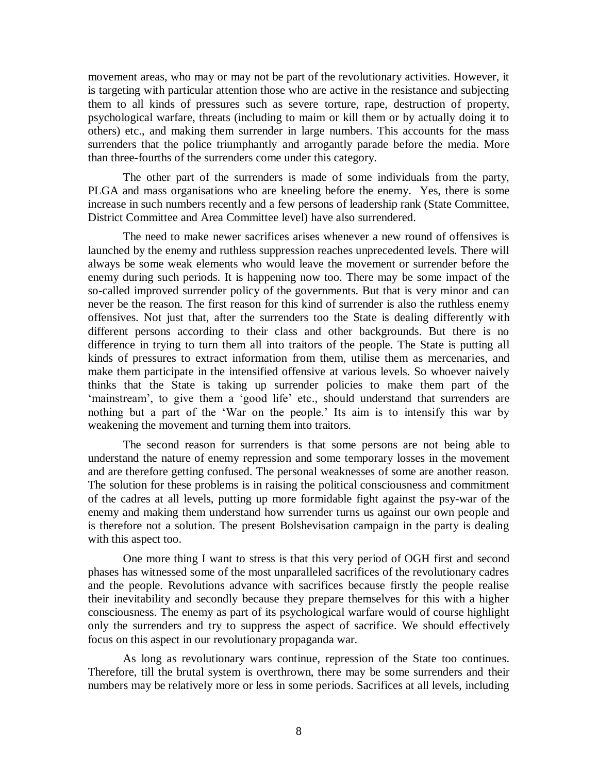movement areas, who may or may not be part of the revolutionary activities. However, it is targeting with particular attention those who are active in the resistance and subjecting them to all kinds of pressures such as severe torture, rape, destruction of property, psychological warfare, threats (including to maim or kill them or by actually doing it to others) etc., and making them surrender in large numbers. This accounts for the mass surrenders that the police triumphantly and arrogantly parade before the media. More than three-fourths of the surrenders come under this category.

The other part of the surrenders is made of some individuals from the party, PLGA and mass organisations who are kneeling before the enemy. Yes, there is some increase in such numbers recently and a few persons of leadership rank (State Committee, District Committee and Area Committee level) have also surrendered.

The need to make newer sacrifices arises whenever a new round of offensives is launched by the enemy and ruthless suppression reaches unprecedented levels. There will always be some weak elements who would leave the movement or surrender before the enemy during such periods. It is happening now too. There may be some impact of the so-called improved surrender policy of the governments. But that is very minor and can never be the reason. The first reason for this kind of surrender is also the ruthless enemy offensives. Not just that, after the surrenders too the State is dealing differently with different persons according to their class and other backgrounds. But there is no difference in trying to turn them all into traitors of the people. The State is putting all kinds of pressures to extract information from them, utilise them as mercenaries, and make them participate in the intensified offensive at various levels. So whoever naively thinks that the State is taking up surrender policies to make them part of the 'mainstream', to give them a 'good life' etc., should understand that surrenders are nothing but a part of the 'War on the people.' Its aim is to intensify this war by weakening the movement and turning them into traitors.

The second reason for surrenders is that some persons are not being able to understand the nature of enemy repression and some temporary losses in the movement and are therefore getting confused. The personal weaknesses of some are another reason. The solution for these problems is in raising the political consciousness and commitment of the cadres at all levels, putting up more formidable fight against the psy-war of the enemy and making them understand how surrender turns us against our own people and is therefore not a solution. The present Bolshevisation campaign in the party is dealing with this aspect too.

One more thing I want to stress is that this very period of OGH first and second phases has witnessed some of the most unparalleled sacrifices of the revolutionary cadres and the people. Revolutions advance with sacrifices because firstly the people realise their inevitability and secondly because they prepare themselves for this with a higher consciousness. The enemy as part of its psychological warfare would of course highlight only the surrenders and try to suppress the aspect of sacrifice. We should effectively focus on this aspect in our revolutionary propaganda war.

As long as revolutionary wars continue, repression of the State too continues. Therefore, till the brutal system is overthrown, there may be some surrenders and their numbers may be relatively more or less in some periods. Sacrifices at all levels, including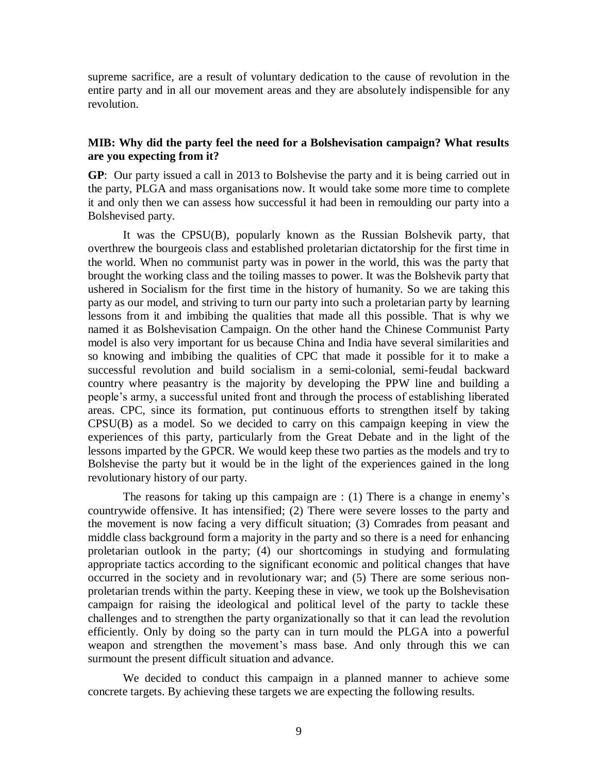supreme sacrifice, are a result of voluntary dedication to the cause of revolution in the entire party and in all our movement areas and they are absolutely indispensible for any revolution.

## **MIB: Why did the party feel the need for a Bolshevisation campaign? What results are you expecting from it?**

**GP**: Our party issued a call in 2013 to Bolshevise the party and it is being carried out in the party, PLGA and mass organisations now. It would take some more time to complete it and only then we can assess how successful it had been in remoulding our party into a Bolshevised party.

It was the CPSU(B), popularly known as the Russian Bolshevik party, that overthrew the bourgeois class and established proletarian dictatorship for the first time in the world. When no communist party was in power in the world, this was the party that brought the working class and the toiling masses to power. It was the Bolshevik party that ushered in Socialism for the first time in the history of humanity. So we are taking this party as our model, and striving to turn our party into such a proletarian party by learning lessons from it and imbibing the qualities that made all this possible. That is why we named it as Bolshevisation Campaign. On the other hand the Chinese Communist Party model is also very important for us because China and India have several similarities and so knowing and imbibing the qualities of CPC that made it possible for it to make a successful revolution and build socialism in a semi-colonial, semi-feudal backward country where peasantry is the majority by developing the PPW line and building a people's army, a successful united front and through the process of establishing liberated areas. CPC, since its formation, put continuous efforts to strengthen itself by taking CPSU(B) as a model. So we decided to carry on this campaign keeping in view the experiences of this party, particularly from the Great Debate and in the light of the lessons imparted by the GPCR. We would keep these two parties as the models and try to Bolshevise the party but it would be in the light of the experiences gained in the long revolutionary history of our party.

The reasons for taking up this campaign are : (1) There is a change in enemy's countrywide offensive. It has intensified; (2) There were severe losses to the party and the movement is now facing a very difficult situation; (3) Comrades from peasant and middle class background form a majority in the party and so there is a need for enhancing proletarian outlook in the party; (4) our shortcomings in studying and formulating appropriate tactics according to the significant economic and political changes that have occurred in the society and in revolutionary war; and (5) There are some serious nonproletarian trends within the party. Keeping these in view, we took up the Bolshevisation campaign for raising the ideological and political level of the party to tackle these challenges and to strengthen the party organizationally so that it can lead the revolution efficiently. Only by doing so the party can in turn mould the PLGA into a powerful weapon and strengthen the movement's mass base. And only through this we can surmount the present difficult situation and advance.

We decided to conduct this campaign in a planned manner to achieve some concrete targets. By achieving these targets we are expecting the following results.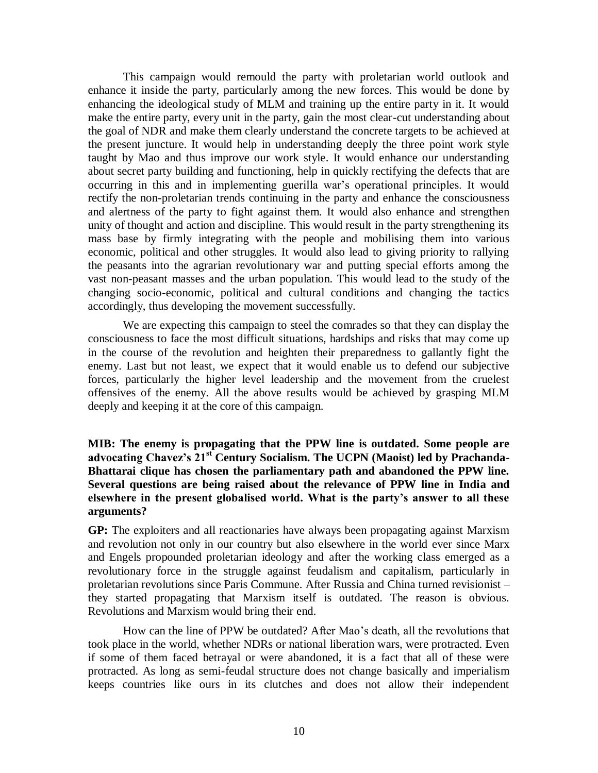This campaign would remould the party with proletarian world outlook and enhance it inside the party, particularly among the new forces. This would be done by enhancing the ideological study of MLM and training up the entire party in it. It would make the entire party, every unit in the party, gain the most clear-cut understanding about the goal of NDR and make them clearly understand the concrete targets to be achieved at the present juncture. It would help in understanding deeply the three point work style taught by Mao and thus improve our work style. It would enhance our understanding about secret party building and functioning, help in quickly rectifying the defects that are occurring in this and in implementing guerilla war's operational principles. It would rectify the non-proletarian trends continuing in the party and enhance the consciousness and alertness of the party to fight against them. It would also enhance and strengthen unity of thought and action and discipline. This would result in the party strengthening its mass base by firmly integrating with the people and mobilising them into various economic, political and other struggles. It would also lead to giving priority to rallying the peasants into the agrarian revolutionary war and putting special efforts among the vast non-peasant masses and the urban population. This would lead to the study of the changing socio-economic, political and cultural conditions and changing the tactics accordingly, thus developing the movement successfully.

We are expecting this campaign to steel the comrades so that they can display the consciousness to face the most difficult situations, hardships and risks that may come up in the course of the revolution and heighten their preparedness to gallantly fight the enemy. Last but not least, we expect that it would enable us to defend our subjective forces, particularly the higher level leadership and the movement from the cruelest offensives of the enemy. All the above results would be achieved by grasping MLM deeply and keeping it at the core of this campaign.

**MIB: The enemy is propagating that the PPW line is outdated. Some people are advocating Chavez's 21st Century Socialism. The UCPN (Maoist) led by Prachanda-Bhattarai clique has chosen the parliamentary path and abandoned the PPW line. Several questions are being raised about the relevance of PPW line in India and elsewhere in the present globalised world. What is the party's answer to all these arguments?**

**GP:** The exploiters and all reactionaries have always been propagating against Marxism and revolution not only in our country but also elsewhere in the world ever since Marx and Engels propounded proletarian ideology and after the working class emerged as a revolutionary force in the struggle against feudalism and capitalism, particularly in proletarian revolutions since Paris Commune. After Russia and China turned revisionist – they started propagating that Marxism itself is outdated. The reason is obvious. Revolutions and Marxism would bring their end.

How can the line of PPW be outdated? After Mao's death, all the revolutions that took place in the world, whether NDRs or national liberation wars, were protracted. Even if some of them faced betrayal or were abandoned, it is a fact that all of these were protracted. As long as semi-feudal structure does not change basically and imperialism keeps countries like ours in its clutches and does not allow their independent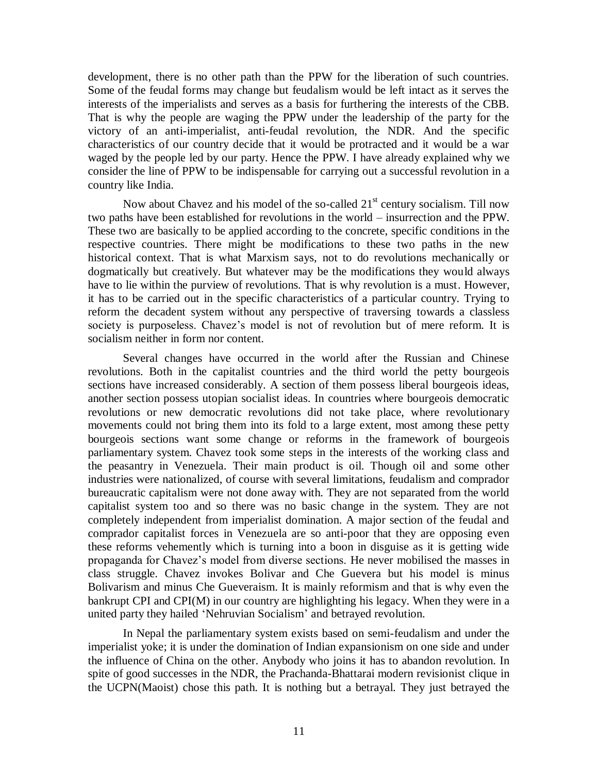development, there is no other path than the PPW for the liberation of such countries. Some of the feudal forms may change but feudalism would be left intact as it serves the interests of the imperialists and serves as a basis for furthering the interests of the CBB. That is why the people are waging the PPW under the leadership of the party for the victory of an anti-imperialist, anti-feudal revolution, the NDR. And the specific characteristics of our country decide that it would be protracted and it would be a war waged by the people led by our party. Hence the PPW. I have already explained why we consider the line of PPW to be indispensable for carrying out a successful revolution in a country like India.

Now about Chavez and his model of the so-called  $21<sup>st</sup>$  century socialism. Till now two paths have been established for revolutions in the world – insurrection and the PPW. These two are basically to be applied according to the concrete, specific conditions in the respective countries. There might be modifications to these two paths in the new historical context. That is what Marxism says, not to do revolutions mechanically or dogmatically but creatively. But whatever may be the modifications they would always have to lie within the purview of revolutions. That is why revolution is a must. However, it has to be carried out in the specific characteristics of a particular country. Trying to reform the decadent system without any perspective of traversing towards a classless society is purposeless. Chavez's model is not of revolution but of mere reform. It is socialism neither in form nor content.

Several changes have occurred in the world after the Russian and Chinese revolutions. Both in the capitalist countries and the third world the petty bourgeois sections have increased considerably. A section of them possess liberal bourgeois ideas, another section possess utopian socialist ideas. In countries where bourgeois democratic revolutions or new democratic revolutions did not take place, where revolutionary movements could not bring them into its fold to a large extent, most among these petty bourgeois sections want some change or reforms in the framework of bourgeois parliamentary system. Chavez took some steps in the interests of the working class and the peasantry in Venezuela. Their main product is oil. Though oil and some other industries were nationalized, of course with several limitations, feudalism and comprador bureaucratic capitalism were not done away with. They are not separated from the world capitalist system too and so there was no basic change in the system. They are not completely independent from imperialist domination. A major section of the feudal and comprador capitalist forces in Venezuela are so anti-poor that they are opposing even these reforms vehemently which is turning into a boon in disguise as it is getting wide propaganda for Chavez's model from diverse sections. He never mobilised the masses in class struggle. Chavez invokes Bolivar and Che Guevera but his model is minus Bolivarism and minus Che Gueveraism. It is mainly reformism and that is why even the bankrupt CPI and CPI(M) in our country are highlighting his legacy. When they were in a united party they hailed 'Nehruvian Socialism' and betrayed revolution.

In Nepal the parliamentary system exists based on semi-feudalism and under the imperialist yoke; it is under the domination of Indian expansionism on one side and under the influence of China on the other. Anybody who joins it has to abandon revolution. In spite of good successes in the NDR, the Prachanda-Bhattarai modern revisionist clique in the UCPN(Maoist) chose this path. It is nothing but a betrayal. They just betrayed the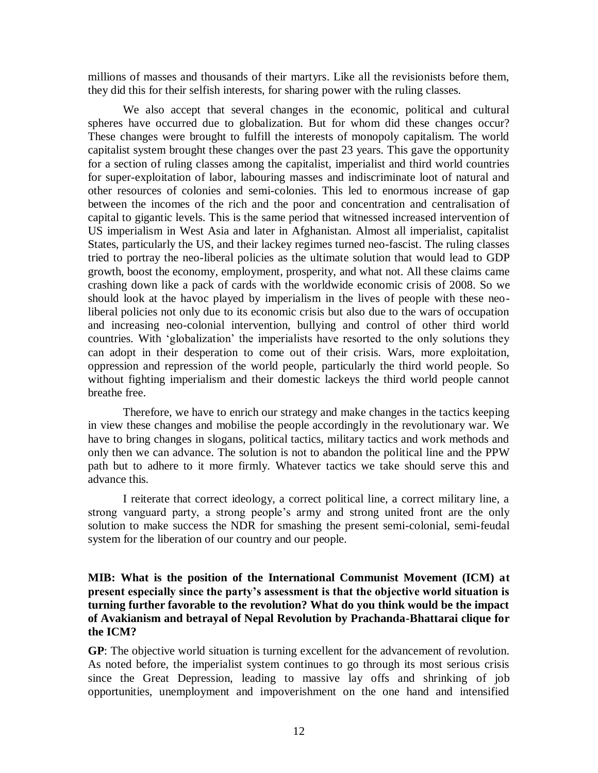millions of masses and thousands of their martyrs. Like all the revisionists before them, they did this for their selfish interests, for sharing power with the ruling classes.

We also accept that several changes in the economic, political and cultural spheres have occurred due to globalization. But for whom did these changes occur? These changes were brought to fulfill the interests of monopoly capitalism. The world capitalist system brought these changes over the past 23 years. This gave the opportunity for a section of ruling classes among the capitalist, imperialist and third world countries for super-exploitation of labor, labouring masses and indiscriminate loot of natural and other resources of colonies and semi-colonies. This led to enormous increase of gap between the incomes of the rich and the poor and concentration and centralisation of capital to gigantic levels. This is the same period that witnessed increased intervention of US imperialism in West Asia and later in Afghanistan. Almost all imperialist, capitalist States, particularly the US, and their lackey regimes turned neo-fascist. The ruling classes tried to portray the neo-liberal policies as the ultimate solution that would lead to GDP growth, boost the economy, employment, prosperity, and what not. All these claims came crashing down like a pack of cards with the worldwide economic crisis of 2008. So we should look at the havoc played by imperialism in the lives of people with these neoliberal policies not only due to its economic crisis but also due to the wars of occupation and increasing neo-colonial intervention, bullying and control of other third world countries. With 'globalization' the imperialists have resorted to the only solutions they can adopt in their desperation to come out of their crisis. Wars, more exploitation, oppression and repression of the world people, particularly the third world people. So without fighting imperialism and their domestic lackeys the third world people cannot breathe free.

Therefore, we have to enrich our strategy and make changes in the tactics keeping in view these changes and mobilise the people accordingly in the revolutionary war. We have to bring changes in slogans, political tactics, military tactics and work methods and only then we can advance. The solution is not to abandon the political line and the PPW path but to adhere to it more firmly. Whatever tactics we take should serve this and advance this.

I reiterate that correct ideology, a correct political line, a correct military line, a strong vanguard party, a strong people's army and strong united front are the only solution to make success the NDR for smashing the present semi-colonial, semi-feudal system for the liberation of our country and our people.

# **MIB: What is the position of the International Communist Movement (ICM) at present especially since the party's assessment is that the objective world situation is turning further favorable to the revolution? What do you think would be the impact of Avakianism and betrayal of Nepal Revolution by Prachanda-Bhattarai clique for the ICM?**

**GP**: The objective world situation is turning excellent for the advancement of revolution. As noted before, the imperialist system continues to go through its most serious crisis since the Great Depression, leading to massive lay offs and shrinking of job opportunities, unemployment and impoverishment on the one hand and intensified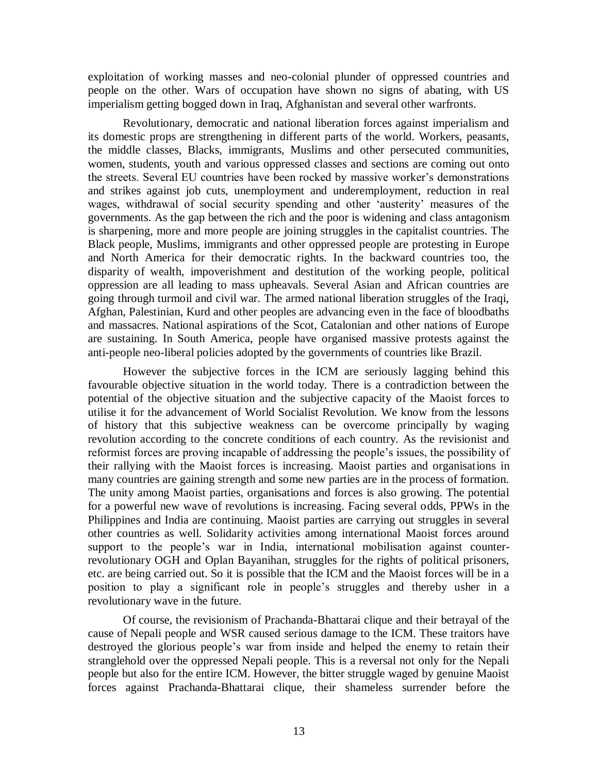exploitation of working masses and neo-colonial plunder of oppressed countries and people on the other. Wars of occupation have shown no signs of abating, with US imperialism getting bogged down in Iraq, Afghanistan and several other warfronts.

Revolutionary, democratic and national liberation forces against imperialism and its domestic props are strengthening in different parts of the world. Workers, peasants, the middle classes, Blacks, immigrants, Muslims and other persecuted communities, women, students, youth and various oppressed classes and sections are coming out onto the streets. Several EU countries have been rocked by massive worker's demonstrations and strikes against job cuts, unemployment and underemployment, reduction in real wages, withdrawal of social security spending and other 'austerity' measures of the governments. As the gap between the rich and the poor is widening and class antagonism is sharpening, more and more people are joining struggles in the capitalist countries. The Black people, Muslims, immigrants and other oppressed people are protesting in Europe and North America for their democratic rights. In the backward countries too, the disparity of wealth, impoverishment and destitution of the working people, political oppression are all leading to mass upheavals. Several Asian and African countries are going through turmoil and civil war. The armed national liberation struggles of the Iraqi, Afghan, Palestinian, Kurd and other peoples are advancing even in the face of bloodbaths and massacres. National aspirations of the Scot, Catalonian and other nations of Europe are sustaining. In South America, people have organised massive protests against the anti-people neo-liberal policies adopted by the governments of countries like Brazil.

However the subjective forces in the ICM are seriously lagging behind this favourable objective situation in the world today. There is a contradiction between the potential of the objective situation and the subjective capacity of the Maoist forces to utilise it for the advancement of World Socialist Revolution. We know from the lessons of history that this subjective weakness can be overcome principally by waging revolution according to the concrete conditions of each country. As the revisionist and reformist forces are proving incapable of addressing the people's issues, the possibility of their rallying with the Maoist forces is increasing. Maoist parties and organisations in many countries are gaining strength and some new parties are in the process of formation. The unity among Maoist parties, organisations and forces is also growing. The potential for a powerful new wave of revolutions is increasing. Facing several odds, PPWs in the Philippines and India are continuing. Maoist parties are carrying out struggles in several other countries as well. Solidarity activities among international Maoist forces around support to the people's war in India, international mobilisation against counterrevolutionary OGH and Oplan Bayanihan, struggles for the rights of political prisoners, etc. are being carried out. So it is possible that the ICM and the Maoist forces will be in a position to play a significant role in people's struggles and thereby usher in a revolutionary wave in the future.

Of course, the revisionism of Prachanda-Bhattarai clique and their betrayal of the cause of Nepali people and WSR caused serious damage to the ICM. These traitors have destroyed the glorious people's war from inside and helped the enemy to retain their stranglehold over the oppressed Nepali people. This is a reversal not only for the Nepali people but also for the entire ICM. However, the bitter struggle waged by genuine Maoist forces against Prachanda-Bhattarai clique, their shameless surrender before the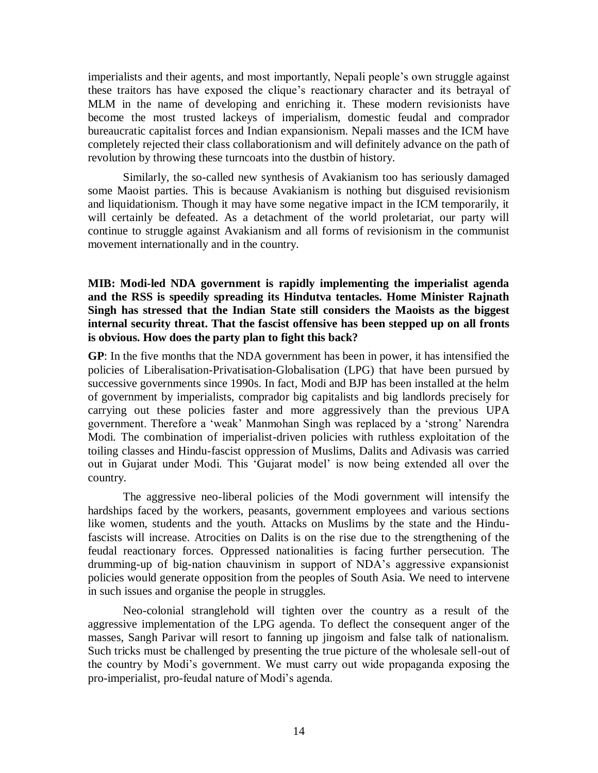imperialists and their agents, and most importantly, Nepali people's own struggle against these traitors has have exposed the clique's reactionary character and its betrayal of MLM in the name of developing and enriching it. These modern revisionists have become the most trusted lackeys of imperialism, domestic feudal and comprador bureaucratic capitalist forces and Indian expansionism. Nepali masses and the ICM have completely rejected their class collaborationism and will definitely advance on the path of revolution by throwing these turncoats into the dustbin of history.

Similarly, the so-called new synthesis of Avakianism too has seriously damaged some Maoist parties. This is because Avakianism is nothing but disguised revisionism and liquidationism. Though it may have some negative impact in the ICM temporarily, it will certainly be defeated. As a detachment of the world proletariat, our party will continue to struggle against Avakianism and all forms of revisionism in the communist movement internationally and in the country.

# **MIB: Modi-led NDA government is rapidly implementing the imperialist agenda and the RSS is speedily spreading its Hindutva tentacles. Home Minister Rajnath Singh has stressed that the Indian State still considers the Maoists as the biggest internal security threat. That the fascist offensive has been stepped up on all fronts is obvious. How does the party plan to fight this back?**

**GP**: In the five months that the NDA government has been in power, it has intensified the policies of Liberalisation-Privatisation-Globalisation (LPG) that have been pursued by successive governments since 1990s. In fact, Modi and BJP has been installed at the helm of government by imperialists, comprador big capitalists and big landlords precisely for carrying out these policies faster and more aggressively than the previous UPA government. Therefore a 'weak' Manmohan Singh was replaced by a 'strong' Narendra Modi. The combination of imperialist-driven policies with ruthless exploitation of the toiling classes and Hindu-fascist oppression of Muslims, Dalits and Adivasis was carried out in Gujarat under Modi. This 'Gujarat model' is now being extended all over the country.

The aggressive neo-liberal policies of the Modi government will intensify the hardships faced by the workers, peasants, government employees and various sections like women, students and the youth. Attacks on Muslims by the state and the Hindufascists will increase. Atrocities on Dalits is on the rise due to the strengthening of the feudal reactionary forces. Oppressed nationalities is facing further persecution. The drumming-up of big-nation chauvinism in support of NDA's aggressive expansionist policies would generate opposition from the peoples of South Asia. We need to intervene in such issues and organise the people in struggles.

Neo-colonial stranglehold will tighten over the country as a result of the aggressive implementation of the LPG agenda. To deflect the consequent anger of the masses, Sangh Parivar will resort to fanning up jingoism and false talk of nationalism. Such tricks must be challenged by presenting the true picture of the wholesale sell-out of the country by Modi's government. We must carry out wide propaganda exposing the pro-imperialist, pro-feudal nature of Modi's agenda.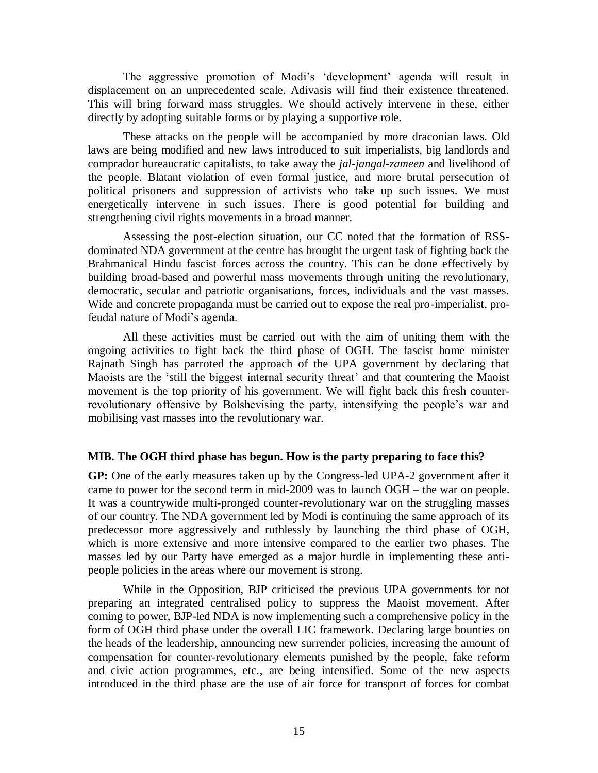The aggressive promotion of Modi's 'development' agenda will result in displacement on an unprecedented scale. Adivasis will find their existence threatened. This will bring forward mass struggles. We should actively intervene in these, either directly by adopting suitable forms or by playing a supportive role.

These attacks on the people will be accompanied by more draconian laws. Old laws are being modified and new laws introduced to suit imperialists, big landlords and comprador bureaucratic capitalists, to take away the *jal-jangal-zameen* and livelihood of the people. Blatant violation of even formal justice, and more brutal persecution of political prisoners and suppression of activists who take up such issues. We must energetically intervene in such issues. There is good potential for building and strengthening civil rights movements in a broad manner.

Assessing the post-election situation, our CC noted that the formation of RSSdominated NDA government at the centre has brought the urgent task of fighting back the Brahmanical Hindu fascist forces across the country. This can be done effectively by building broad-based and powerful mass movements through uniting the revolutionary, democratic, secular and patriotic organisations, forces, individuals and the vast masses. Wide and concrete propaganda must be carried out to expose the real pro-imperialist, profeudal nature of Modi's agenda.

All these activities must be carried out with the aim of uniting them with the ongoing activities to fight back the third phase of OGH. The fascist home minister Rajnath Singh has parroted the approach of the UPA government by declaring that Maoists are the 'still the biggest internal security threat' and that countering the Maoist movement is the top priority of his government. We will fight back this fresh counterrevolutionary offensive by Bolshevising the party, intensifying the people's war and mobilising vast masses into the revolutionary war.

## **MIB. The OGH third phase has begun. How is the party preparing to face this?**

**GP:** One of the early measures taken up by the Congress-led UPA-2 government after it came to power for the second term in mid-2009 was to launch OGH – the war on people. It was a countrywide multi-pronged counter-revolutionary war on the struggling masses of our country. The NDA government led by Modi is continuing the same approach of its predecessor more aggressively and ruthlessly by launching the third phase of OGH, which is more extensive and more intensive compared to the earlier two phases. The masses led by our Party have emerged as a major hurdle in implementing these antipeople policies in the areas where our movement is strong.

While in the Opposition, BJP criticised the previous UPA governments for not preparing an integrated centralised policy to suppress the Maoist movement. After coming to power, BJP-led NDA is now implementing such a comprehensive policy in the form of OGH third phase under the overall LIC framework. Declaring large bounties on the heads of the leadership, announcing new surrender policies, increasing the amount of compensation for counter-revolutionary elements punished by the people, fake reform and civic action programmes, etc., are being intensified. Some of the new aspects introduced in the third phase are the use of air force for transport of forces for combat